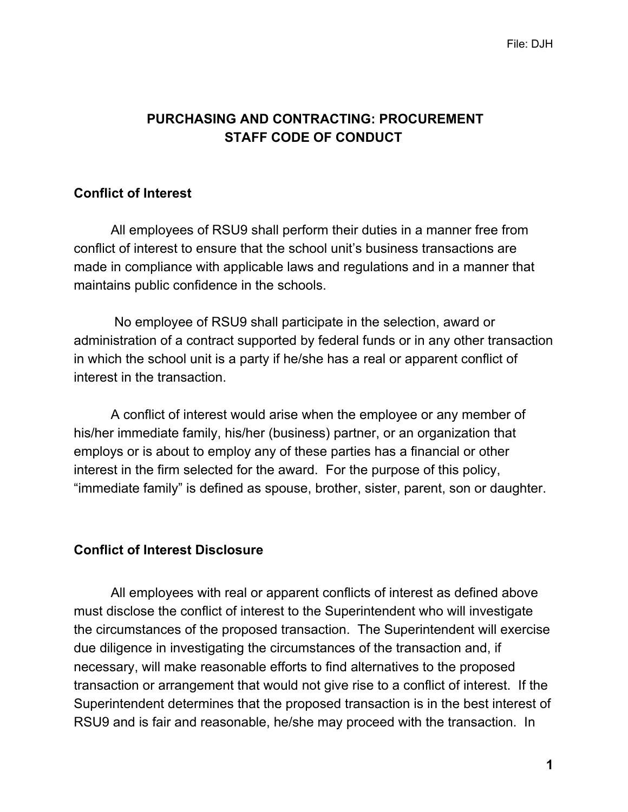# **PURCHASING AND CONTRACTING: PROCUREMENT STAFF CODE OF CONDUCT**

## **Conflict of Interest**

All employees of RSU9 shall perform their duties in a manner free from conflict of interest to ensure that the school unit's business transactions are made in compliance with applicable laws and regulations and in a manner that maintains public confidence in the schools.

No employee of RSU9 shall participate in the selection, award or administration of a contract supported by federal funds or in any other transaction in which the school unit is a party if he/she has a real or apparent conflict of interest in the transaction.

A conflict of interest would arise when the employee or any member of his/her immediate family, his/her (business) partner, or an organization that employs or is about to employ any of these parties has a financial or other interest in the firm selected for the award. For the purpose of this policy, "immediate family" is defined as spouse, brother, sister, parent, son or daughter.

#### **Conflict of Interest Disclosure**

All employees with real or apparent conflicts of interest as defined above must disclose the conflict of interest to the Superintendent who will investigate the circumstances of the proposed transaction. The Superintendent will exercise due diligence in investigating the circumstances of the transaction and, if necessary, will make reasonable efforts to find alternatives to the proposed transaction or arrangement that would not give rise to a conflict of interest. If the Superintendent determines that the proposed transaction is in the best interest of RSU9 and is fair and reasonable, he/she may proceed with the transaction. In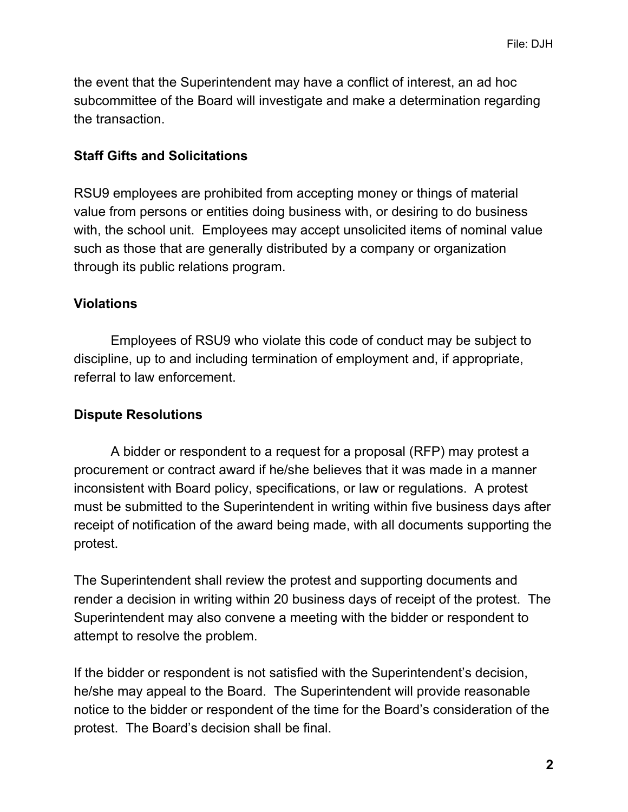the event that the Superintendent may have a conflict of interest, an ad hoc subcommittee of the Board will investigate and make a determination regarding the transaction.

#### **Staff Gifts and Solicitations**

RSU9 employees are prohibited from accepting money or things of material value from persons or entities doing business with, or desiring to do business with, the school unit. Employees may accept unsolicited items of nominal value such as those that are generally distributed by a company or organization through its public relations program.

## **Violations**

Employees of RSU9 who violate this code of conduct may be subject to discipline, up to and including termination of employment and, if appropriate, referral to law enforcement.

### **Dispute Resolutions**

A bidder or respondent to a request for a proposal (RFP) may protest a procurement or contract award if he/she believes that it was made in a manner inconsistent with Board policy, specifications, or law or regulations. A protest must be submitted to the Superintendent in writing within five business days after receipt of notification of the award being made, with all documents supporting the protest.

The Superintendent shall review the protest and supporting documents and render a decision in writing within 20 business days of receipt of the protest. The Superintendent may also convene a meeting with the bidder or respondent to attempt to resolve the problem.

If the bidder or respondent is not satisfied with the Superintendent's decision, he/she may appeal to the Board. The Superintendent will provide reasonable notice to the bidder or respondent of the time for the Board's consideration of the protest. The Board's decision shall be final.